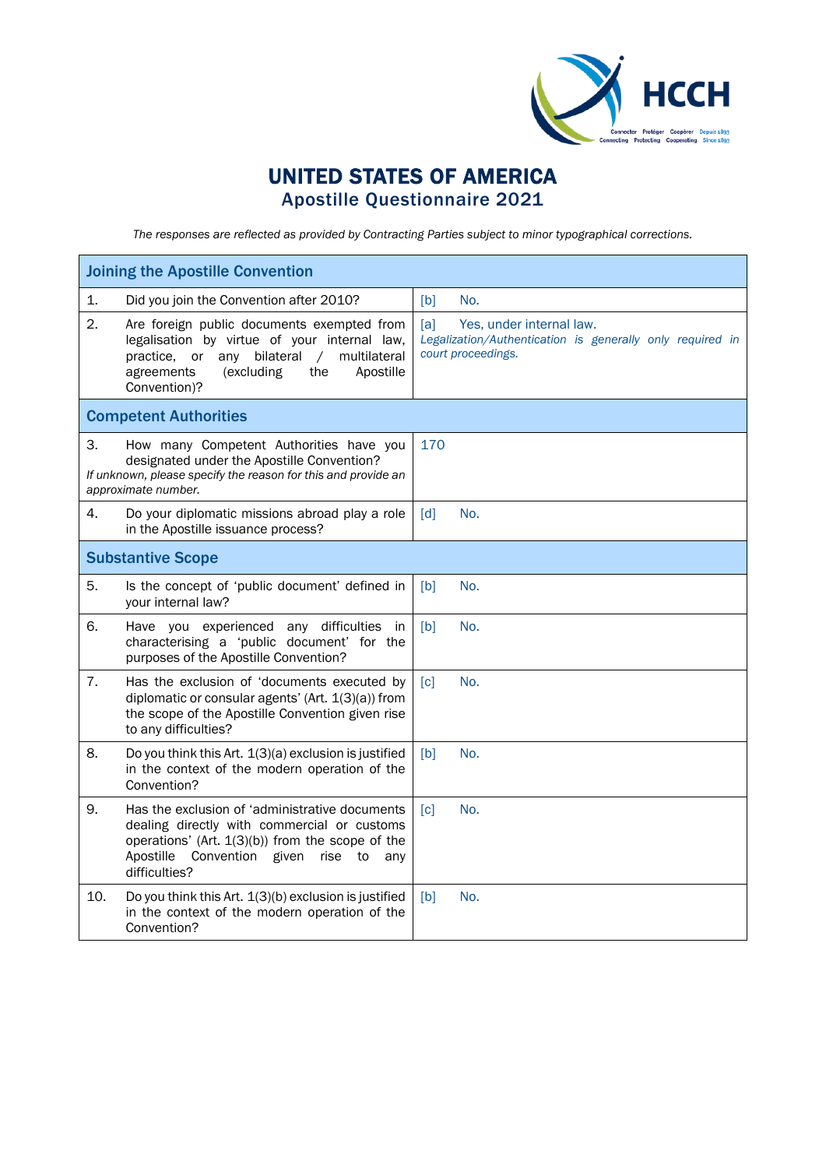

## UNITED STATES OF AMERICA Apostille Questionnaire 2021

*The responses are reflected as provided by Contracting Parties subject to minor typographical corrections.*

| <b>Joining the Apostille Convention</b>                                                                                                                                                                                         |                                                                                                                    |  |  |  |
|---------------------------------------------------------------------------------------------------------------------------------------------------------------------------------------------------------------------------------|--------------------------------------------------------------------------------------------------------------------|--|--|--|
| 1.<br>Did you join the Convention after 2010?                                                                                                                                                                                   | No.<br>[b]                                                                                                         |  |  |  |
| 2.<br>Are foreign public documents exempted from<br>legalisation by virtue of your internal law,<br>bilateral<br>multilateral<br>practice, or any<br>$\sqrt{2}$<br>(excluding<br>agreements<br>the<br>Apostille<br>Convention)? | [a]<br>Yes, under internal law.<br>Legalization/Authentication is generally only required in<br>court proceedings. |  |  |  |
| <b>Competent Authorities</b>                                                                                                                                                                                                    |                                                                                                                    |  |  |  |
| 3.<br>How many Competent Authorities have you<br>designated under the Apostille Convention?<br>If unknown, please specify the reason for this and provide an<br>approximate number.                                             | 170                                                                                                                |  |  |  |
| 4.<br>Do your diplomatic missions abroad play a role<br>in the Apostille issuance process?                                                                                                                                      | [d]<br>No.                                                                                                         |  |  |  |
| <b>Substantive Scope</b>                                                                                                                                                                                                        |                                                                                                                    |  |  |  |
| 5.<br>Is the concept of 'public document' defined in<br>your internal law?                                                                                                                                                      | No.<br>[b]                                                                                                         |  |  |  |
| 6.<br>Have you experienced any difficulties<br>-in<br>characterising a 'public document' for the<br>purposes of the Apostille Convention?                                                                                       | [b]<br>No.                                                                                                         |  |  |  |
| 7.<br>Has the exclusion of 'documents executed by<br>diplomatic or consular agents' (Art. 1(3)(a)) from<br>the scope of the Apostille Convention given rise<br>to any difficulties?                                             | No.<br>$\lceil c \rceil$                                                                                           |  |  |  |
| 8.<br>Do you think this Art. 1(3)(a) exclusion is justified<br>in the context of the modern operation of the<br>Convention?                                                                                                     | [b]<br>No.                                                                                                         |  |  |  |
| 9.<br>Has the exclusion of 'administrative documents<br>dealing directly with commercial or customs<br>operations' (Art. 1(3)(b)) from the scope of the<br>Apostille<br>Convention given<br>rise to<br>anv<br>difficulties?     | [c]<br>No.                                                                                                         |  |  |  |
| 10.<br>Do you think this Art. 1(3)(b) exclusion is justified<br>in the context of the modern operation of the<br>Convention?                                                                                                    | No.<br>[b]                                                                                                         |  |  |  |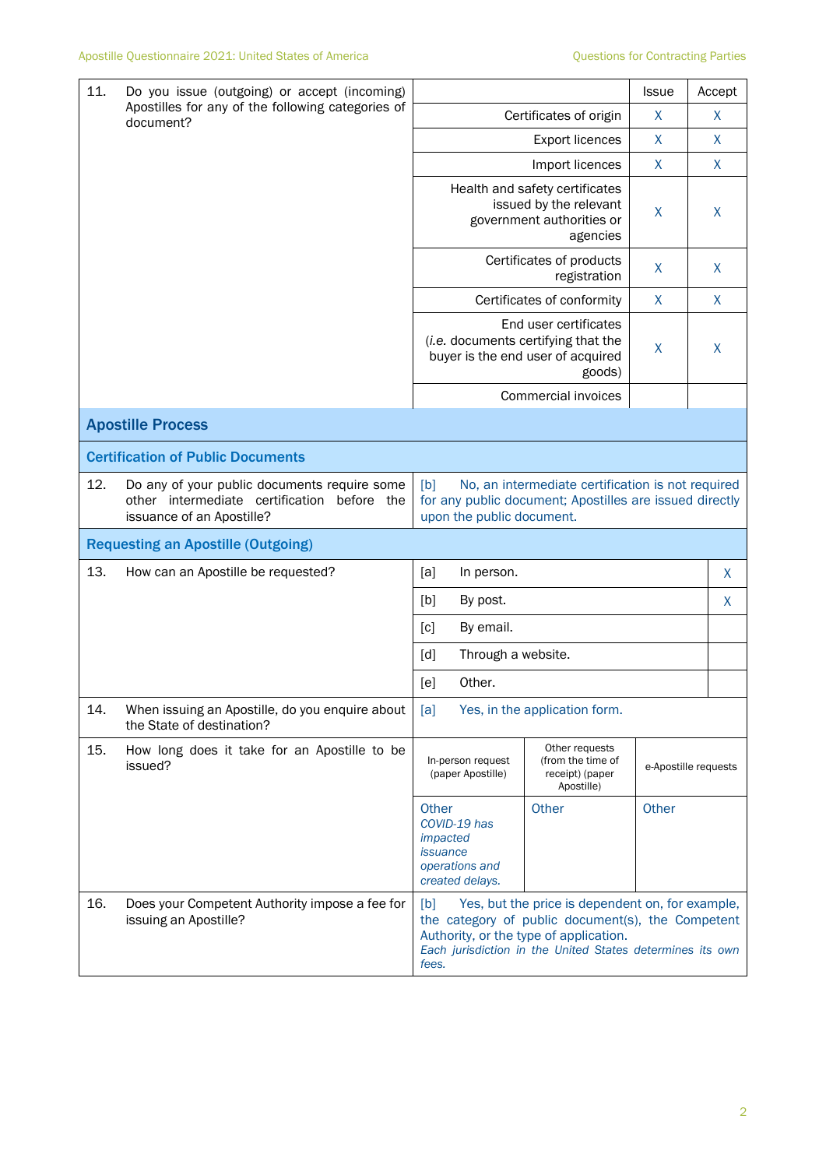| 11.       | Do you issue (outgoing) or accept (incoming)                                                                                |                                                                                                                                                                                                                              | <b>Issue</b>                                                         | Accept       |                      |
|-----------|-----------------------------------------------------------------------------------------------------------------------------|------------------------------------------------------------------------------------------------------------------------------------------------------------------------------------------------------------------------------|----------------------------------------------------------------------|--------------|----------------------|
| document? | Apostilles for any of the following categories of                                                                           | Certificates of origin                                                                                                                                                                                                       | X                                                                    | X            |                      |
|           |                                                                                                                             |                                                                                                                                                                                                                              | <b>Export licences</b>                                               | X            | X                    |
|           |                                                                                                                             |                                                                                                                                                                                                                              | Import licences                                                      | X            | $\mathsf{X}$         |
|           |                                                                                                                             | Health and safety certificates<br>issued by the relevant<br>government authorities or                                                                                                                                        | X                                                                    | X            |                      |
|           |                                                                                                                             |                                                                                                                                                                                                                              | Certificates of products<br>registration                             | X            | X                    |
|           |                                                                                                                             |                                                                                                                                                                                                                              | Certificates of conformity                                           | $\mathsf{X}$ | $\mathsf{X}$         |
|           |                                                                                                                             | End user certificates<br>(i.e. documents certifying that the<br>buyer is the end user of acquired<br>goods)                                                                                                                  |                                                                      | Χ            | $\sf X$              |
|           |                                                                                                                             |                                                                                                                                                                                                                              | Commercial invoices                                                  |              |                      |
|           | <b>Apostille Process</b>                                                                                                    |                                                                                                                                                                                                                              |                                                                      |              |                      |
|           | <b>Certification of Public Documents</b>                                                                                    |                                                                                                                                                                                                                              |                                                                      |              |                      |
| 12.       | Do any of your public documents require some<br>other intermediate certification<br>before the<br>issuance of an Apostille? | [b]<br>No, an intermediate certification is not required<br>for any public document; Apostilles are issued directly<br>upon the public document.                                                                             |                                                                      |              |                      |
|           | <b>Requesting an Apostille (Outgoing)</b>                                                                                   |                                                                                                                                                                                                                              |                                                                      |              |                      |
| 13.       | How can an Apostille be requested?                                                                                          | [a]<br>In person.                                                                                                                                                                                                            |                                                                      |              | X                    |
|           |                                                                                                                             | [b]<br>By post.                                                                                                                                                                                                              | X                                                                    |              |                      |
|           |                                                                                                                             | By email.<br>[c]                                                                                                                                                                                                             |                                                                      |              |                      |
|           |                                                                                                                             | [d]<br>Through a website.                                                                                                                                                                                                    |                                                                      |              |                      |
|           |                                                                                                                             | Other.<br>[e]                                                                                                                                                                                                                |                                                                      |              |                      |
| 14.       | When issuing an Apostille, do you enquire about<br>the State of destination?                                                | [a]                                                                                                                                                                                                                          | Yes, in the application form.                                        |              |                      |
| 15.       | How long does it take for an Apostille to be<br>issued?                                                                     | In-person request<br>(paper Apostille)                                                                                                                                                                                       | Other requests<br>(from the time of<br>receipt) (paper<br>Apostille) |              | e-Apostille requests |
|           |                                                                                                                             | Other<br>COVID-19 has<br>impacted<br><i>issuance</i><br>operations and<br>created delays.                                                                                                                                    | Other                                                                | Other        |                      |
| 16.       | Does your Competent Authority impose a fee for<br>issuing an Apostille?                                                     | Yes, but the price is dependent on, for example,<br>[b]<br>the category of public document(s), the Competent<br>Authority, or the type of application.<br>Each jurisdiction in the United States determines its own<br>fees. |                                                                      |              |                      |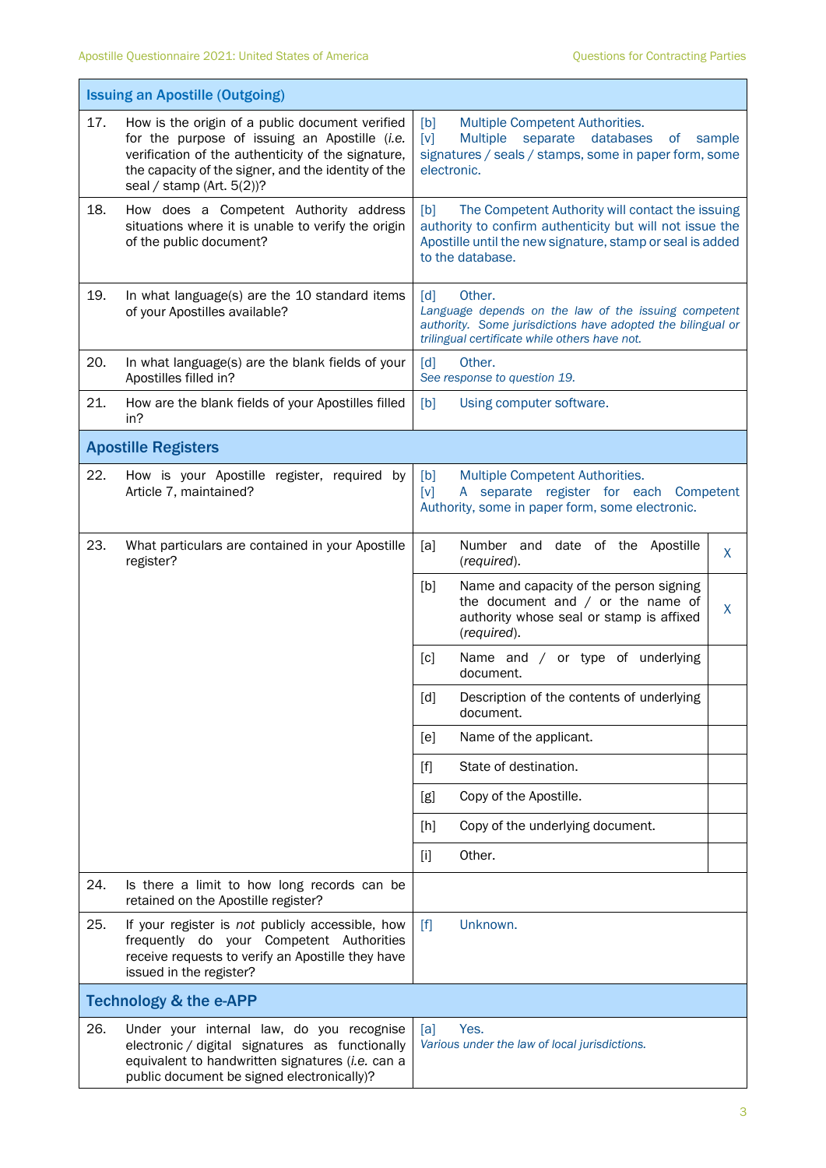|     | <b>Issuing an Apostille (Outgoing)</b>                                                                                                                                                                                                     |                                                                                                                                                                                                                                                                                                                                                                                                                                                                                                                                                                                                                                               |        |  |  |
|-----|--------------------------------------------------------------------------------------------------------------------------------------------------------------------------------------------------------------------------------------------|-----------------------------------------------------------------------------------------------------------------------------------------------------------------------------------------------------------------------------------------------------------------------------------------------------------------------------------------------------------------------------------------------------------------------------------------------------------------------------------------------------------------------------------------------------------------------------------------------------------------------------------------------|--------|--|--|
| 17. | How is the origin of a public document verified<br>for the purpose of issuing an Apostille (i.e.<br>verification of the authenticity of the signature,<br>the capacity of the signer, and the identity of the<br>seal / stamp (Art. 5(2))? | [b]<br>Multiple Competent Authorities.<br><b>Multiple</b><br>separate databases<br>[v]<br>0f<br>signatures / seals / stamps, some in paper form, some<br>electronic.                                                                                                                                                                                                                                                                                                                                                                                                                                                                          | sample |  |  |
| 18. | How does a Competent Authority address<br>situations where it is unable to verify the origin<br>of the public document?                                                                                                                    | The Competent Authority will contact the issuing<br>[b]<br>authority to confirm authenticity but will not issue the<br>Apostille until the new signature, stamp or seal is added<br>to the database.                                                                                                                                                                                                                                                                                                                                                                                                                                          |        |  |  |
| 19. | In what language(s) are the 10 standard items<br>of your Apostilles available?                                                                                                                                                             | $\lceil d \rceil$<br>Other.<br>Language depends on the law of the issuing competent<br>authority. Some jurisdictions have adopted the bilingual or<br>trilingual certificate while others have not.                                                                                                                                                                                                                                                                                                                                                                                                                                           |        |  |  |
| 20. | In what language(s) are the blank fields of your<br>Apostilles filled in?                                                                                                                                                                  | Other.<br>$\lceil d \rceil$<br>See response to question 19.                                                                                                                                                                                                                                                                                                                                                                                                                                                                                                                                                                                   |        |  |  |
| 21. | How are the blank fields of your Apostilles filled<br>in?                                                                                                                                                                                  | [b]<br>Using computer software.                                                                                                                                                                                                                                                                                                                                                                                                                                                                                                                                                                                                               |        |  |  |
|     | <b>Apostille Registers</b>                                                                                                                                                                                                                 |                                                                                                                                                                                                                                                                                                                                                                                                                                                                                                                                                                                                                                               |        |  |  |
| 22. | How is your Apostille register, required by<br>Article 7, maintained?                                                                                                                                                                      | Multiple Competent Authorities.<br>[b]<br>A separate register for each Competent<br>[v]<br>Authority, some in paper form, some electronic.                                                                                                                                                                                                                                                                                                                                                                                                                                                                                                    |        |  |  |
| 23. | What particulars are contained in your Apostille<br>register?                                                                                                                                                                              | Number and date of the Apostille<br>[a]<br>(required).                                                                                                                                                                                                                                                                                                                                                                                                                                                                                                                                                                                        | X      |  |  |
|     |                                                                                                                                                                                                                                            | Name and capacity of the person signing<br>[b]<br>the document and $/$ or the name of<br>authority whose seal or stamp is affixed<br>(required).                                                                                                                                                                                                                                                                                                                                                                                                                                                                                              | X      |  |  |
|     |                                                                                                                                                                                                                                            | Name and / or type of underlying<br>[c]<br>document.                                                                                                                                                                                                                                                                                                                                                                                                                                                                                                                                                                                          |        |  |  |
|     |                                                                                                                                                                                                                                            | $[d] % \begin{center} % \includegraphics[width=\linewidth]{imagesSupplemental_3.png} % \end{center} % \caption { % \textit{DefNet} of \textit{DefNet} and \textit{DefNet} of \textit{DefNet} and \textit{DefNet} of \textit{DefNet} and \textit{DefNet} of \textit{DefNet} and \textit{DefNet} of \textit{DefNet} and \textit{DefNet} of \textit{DefNet} and \textit{DefNet} of \textit{DefNet} and \textit{DefNet} of \textit{DefNet} and \textit{DefNet} of \textit{DefNet} and \textit{DefNet} of \textit{DefNet} and \textit{DefNet} of \textit{DefNet} and \textit{DefNet} of$<br>Description of the contents of underlying<br>document. |        |  |  |
|     |                                                                                                                                                                                                                                            | Name of the applicant.<br>[e]                                                                                                                                                                                                                                                                                                                                                                                                                                                                                                                                                                                                                 |        |  |  |
|     |                                                                                                                                                                                                                                            | State of destination.<br>$[f]$                                                                                                                                                                                                                                                                                                                                                                                                                                                                                                                                                                                                                |        |  |  |
|     |                                                                                                                                                                                                                                            | Copy of the Apostille.<br>[g]                                                                                                                                                                                                                                                                                                                                                                                                                                                                                                                                                                                                                 |        |  |  |
|     |                                                                                                                                                                                                                                            | Copy of the underlying document.<br>[h]                                                                                                                                                                                                                                                                                                                                                                                                                                                                                                                                                                                                       |        |  |  |
|     |                                                                                                                                                                                                                                            | Other.<br>$[1]$                                                                                                                                                                                                                                                                                                                                                                                                                                                                                                                                                                                                                               |        |  |  |
| 24. | Is there a limit to how long records can be<br>retained on the Apostille register?                                                                                                                                                         |                                                                                                                                                                                                                                                                                                                                                                                                                                                                                                                                                                                                                                               |        |  |  |
| 25. | If your register is not publicly accessible, how<br>frequently do your Competent Authorities<br>receive requests to verify an Apostille they have<br>issued in the register?                                                               | Unknown.<br>$[f]$                                                                                                                                                                                                                                                                                                                                                                                                                                                                                                                                                                                                                             |        |  |  |
|     | <b>Technology &amp; the e-APP</b>                                                                                                                                                                                                          |                                                                                                                                                                                                                                                                                                                                                                                                                                                                                                                                                                                                                                               |        |  |  |
| 26. | Under your internal law, do you recognise<br>electronic / digital signatures as functionally<br>equivalent to handwritten signatures (i.e. can a<br>public document be signed electronically)?                                             | Yes.<br>[a]<br>Various under the law of local jurisdictions.                                                                                                                                                                                                                                                                                                                                                                                                                                                                                                                                                                                  |        |  |  |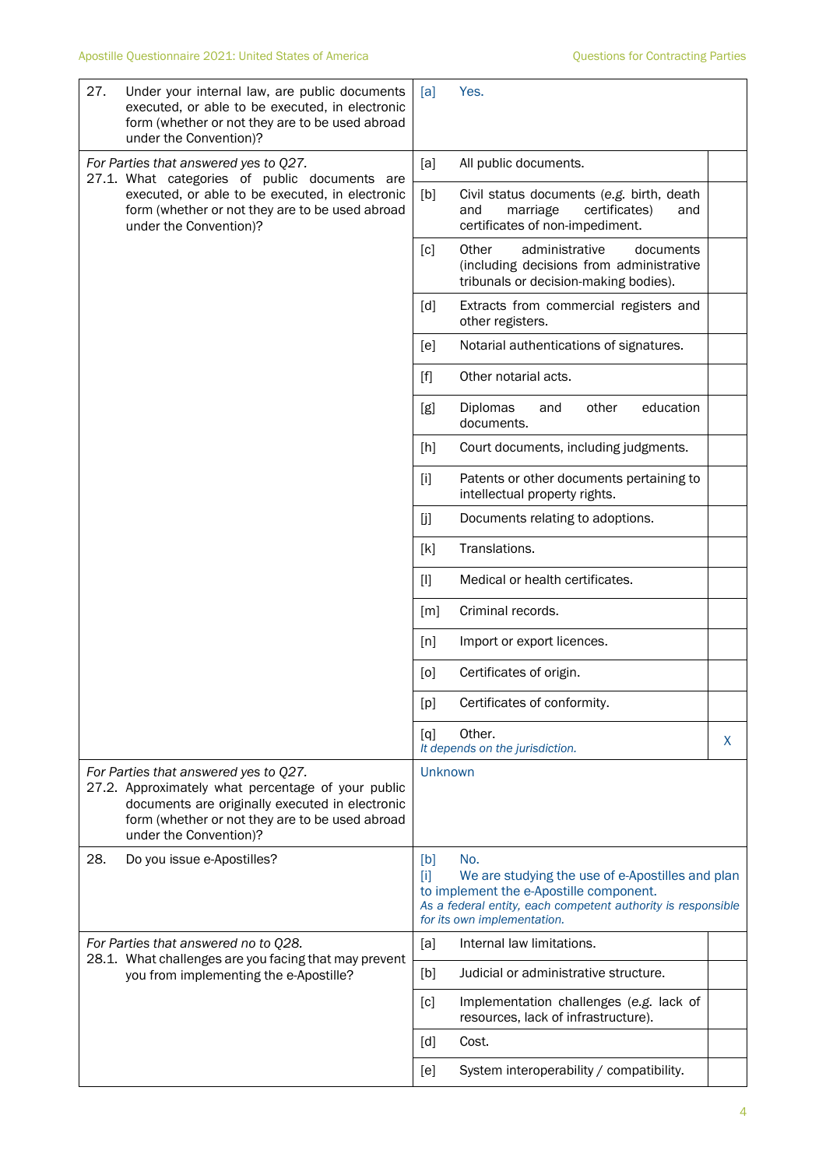| 27. | Under your internal law, are public documents<br>executed, or able to be executed, in electronic<br>form (whether or not they are to be used abroad<br>under the Convention)?                                               | [a]               | Yes.                                                                                                                                                                                              |    |
|-----|-----------------------------------------------------------------------------------------------------------------------------------------------------------------------------------------------------------------------------|-------------------|---------------------------------------------------------------------------------------------------------------------------------------------------------------------------------------------------|----|
|     | For Parties that answered yes to Q27.<br>27.1. What categories of public documents are                                                                                                                                      | [a]               | All public documents.                                                                                                                                                                             |    |
|     | executed, or able to be executed, in electronic<br>form (whether or not they are to be used abroad<br>under the Convention)?                                                                                                | [b]               | Civil status documents (e.g. birth, death<br>certificates)<br>and<br>marriage<br>and<br>certificates of non-impediment.                                                                           |    |
|     |                                                                                                                                                                                                                             | [c]               | Other<br>administrative<br>documents<br>(including decisions from administrative<br>tribunals or decision-making bodies).                                                                         |    |
|     |                                                                                                                                                                                                                             | [d]               | Extracts from commercial registers and<br>other registers.                                                                                                                                        |    |
|     |                                                                                                                                                                                                                             | [e]               | Notarial authentications of signatures.                                                                                                                                                           |    |
|     |                                                                                                                                                                                                                             | $[f]$             | Other notarial acts.                                                                                                                                                                              |    |
|     |                                                                                                                                                                                                                             | [g]               | education<br>Diplomas<br>other<br>and<br>documents.                                                                                                                                               |    |
|     |                                                                                                                                                                                                                             | [h]               | Court documents, including judgments.                                                                                                                                                             |    |
|     |                                                                                                                                                                                                                             | $[1]$             | Patents or other documents pertaining to<br>intellectual property rights.                                                                                                                         |    |
|     |                                                                                                                                                                                                                             | [j]               | Documents relating to adoptions.                                                                                                                                                                  |    |
|     |                                                                                                                                                                                                                             | [k]               | Translations.                                                                                                                                                                                     |    |
|     |                                                                                                                                                                                                                             | $[1]$             | Medical or health certificates.                                                                                                                                                                   |    |
|     |                                                                                                                                                                                                                             | $\lceil m \rceil$ | Criminal records.                                                                                                                                                                                 |    |
|     |                                                                                                                                                                                                                             | [n]               | Import or export licences.                                                                                                                                                                        |    |
|     |                                                                                                                                                                                                                             | [0]               | Certificates of origin.                                                                                                                                                                           |    |
|     |                                                                                                                                                                                                                             | [p]               | Certificates of conformity.                                                                                                                                                                       |    |
|     |                                                                                                                                                                                                                             | [q]               | Other.<br>It depends on the jurisdiction.                                                                                                                                                         | X. |
|     | For Parties that answered yes to Q27.<br>27.2. Approximately what percentage of your public<br>documents are originally executed in electronic<br>form (whether or not they are to be used abroad<br>under the Convention)? | <b>Unknown</b>    |                                                                                                                                                                                                   |    |
| 28. | Do you issue e-Apostilles?                                                                                                                                                                                                  | [b]<br>$[1]$      | No.<br>We are studying the use of e-Apostilles and plan<br>to implement the e-Apostille component.<br>As a federal entity, each competent authority is responsible<br>for its own implementation. |    |
|     | For Parties that answered no to Q28.<br>28.1. What challenges are you facing that may prevent                                                                                                                               | [a]               | Internal law limitations.                                                                                                                                                                         |    |
|     | you from implementing the e-Apostille?                                                                                                                                                                                      | [b]               | Judicial or administrative structure.                                                                                                                                                             |    |
|     |                                                                                                                                                                                                                             | [c]               | Implementation challenges (e.g. lack of<br>resources, lack of infrastructure).                                                                                                                    |    |
|     |                                                                                                                                                                                                                             | [d]               | Cost.                                                                                                                                                                                             |    |
|     |                                                                                                                                                                                                                             | [e]               | System interoperability / compatibility.                                                                                                                                                          |    |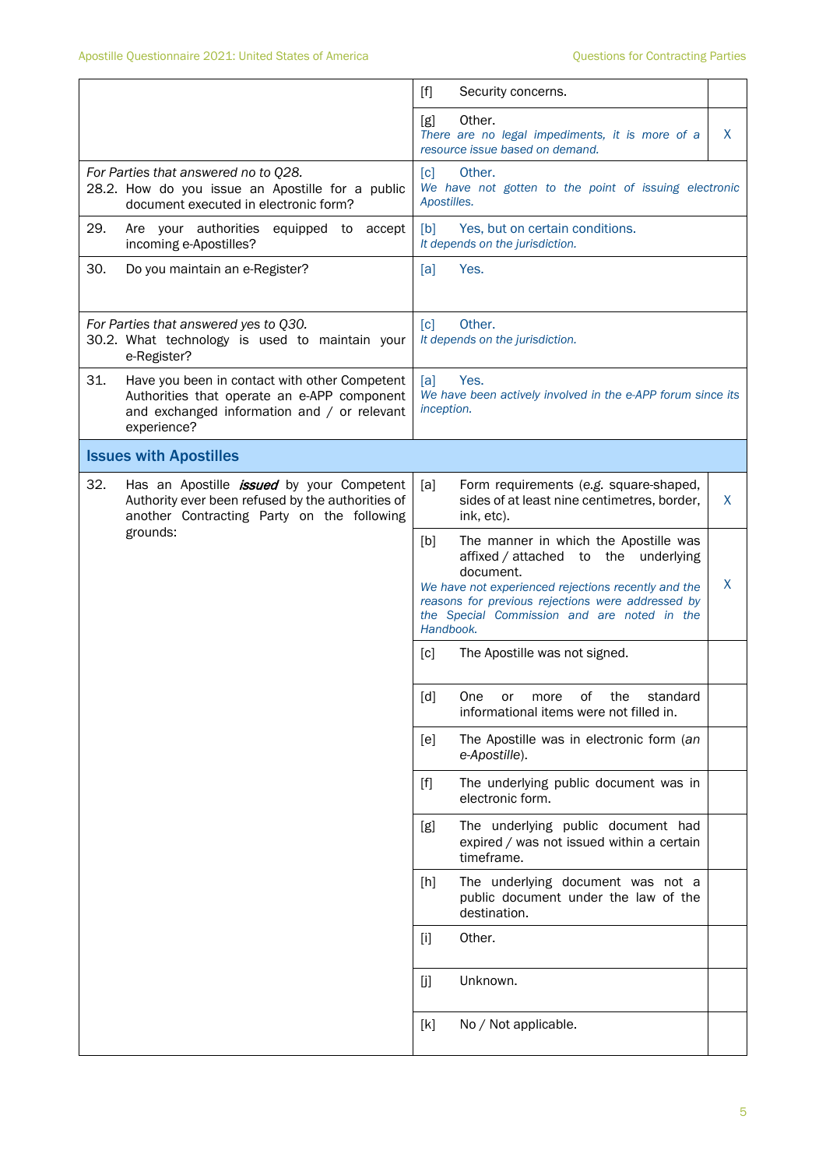|                                                                                                                                                                   | $[f]$<br>Security concerns.                                                                                                                                                                                                                                                    |
|-------------------------------------------------------------------------------------------------------------------------------------------------------------------|--------------------------------------------------------------------------------------------------------------------------------------------------------------------------------------------------------------------------------------------------------------------------------|
|                                                                                                                                                                   | Other.<br>[g]<br>X<br>There are no legal impediments, it is more of a<br>resource issue based on demand.                                                                                                                                                                       |
| For Parties that answered no to Q28.<br>28.2. How do you issue an Apostille for a public<br>document executed in electronic form?                                 | Other.<br>$\lceil c \rceil$<br>We have not gotten to the point of issuing electronic<br>Apostilles.                                                                                                                                                                            |
| 29.<br>Are your authorities<br>equipped to accept<br>incoming e-Apostilles?                                                                                       | [b]<br>Yes, but on certain conditions.<br>It depends on the jurisdiction.                                                                                                                                                                                                      |
| 30.<br>Do you maintain an e-Register?                                                                                                                             | [a]<br>Yes.                                                                                                                                                                                                                                                                    |
| For Parties that answered yes to Q30.<br>30.2. What technology is used to maintain your<br>e-Register?                                                            | Other.<br>[c]<br>It depends on the jurisdiction.                                                                                                                                                                                                                               |
| 31.<br>Have you been in contact with other Competent<br>Authorities that operate an e-APP component<br>and exchanged information and / or relevant<br>experience? | Yes.<br>[a]<br>We have been actively involved in the e-APP forum since its<br>inception.                                                                                                                                                                                       |
| <b>Issues with Apostilles</b>                                                                                                                                     |                                                                                                                                                                                                                                                                                |
| 32.<br>Has an Apostille <i>issued</i> by your Competent<br>Authority ever been refused by the authorities of<br>another Contracting Party on the following        | [a]<br>Form requirements (e.g. square-shaped,<br>sides of at least nine centimetres, border,<br>X<br>ink, etc).                                                                                                                                                                |
| grounds:                                                                                                                                                          | The manner in which the Apostille was<br>[b]<br>affixed / attached to the underlying<br>document.<br>X<br>We have not experienced rejections recently and the<br>reasons for previous rejections were addressed by<br>the Special Commission and are noted in the<br>Handbook. |
|                                                                                                                                                                   | The Apostille was not signed.<br>[c]                                                                                                                                                                                                                                           |
|                                                                                                                                                                   | [d]<br>One<br>the<br>standard<br>of the contract of the contract of the contract of the contract of the contract of the contract of the contract<br>more<br>or or<br>informational items were not filled in.                                                                   |
|                                                                                                                                                                   | The Apostille was in electronic form (an<br>[e]<br>e-Apostille).                                                                                                                                                                                                               |
|                                                                                                                                                                   | The underlying public document was in<br>$[f]$<br>electronic form.                                                                                                                                                                                                             |
|                                                                                                                                                                   | The underlying public document had<br>[g]<br>expired / was not issued within a certain<br>timeframe.                                                                                                                                                                           |
|                                                                                                                                                                   | The underlying document was not a<br>$[h]$<br>public document under the law of the<br>destination.                                                                                                                                                                             |
|                                                                                                                                                                   | Other.<br>$[1]$                                                                                                                                                                                                                                                                |
|                                                                                                                                                                   | Unknown.<br>[j]                                                                                                                                                                                                                                                                |
|                                                                                                                                                                   | No / Not applicable.<br>[k]                                                                                                                                                                                                                                                    |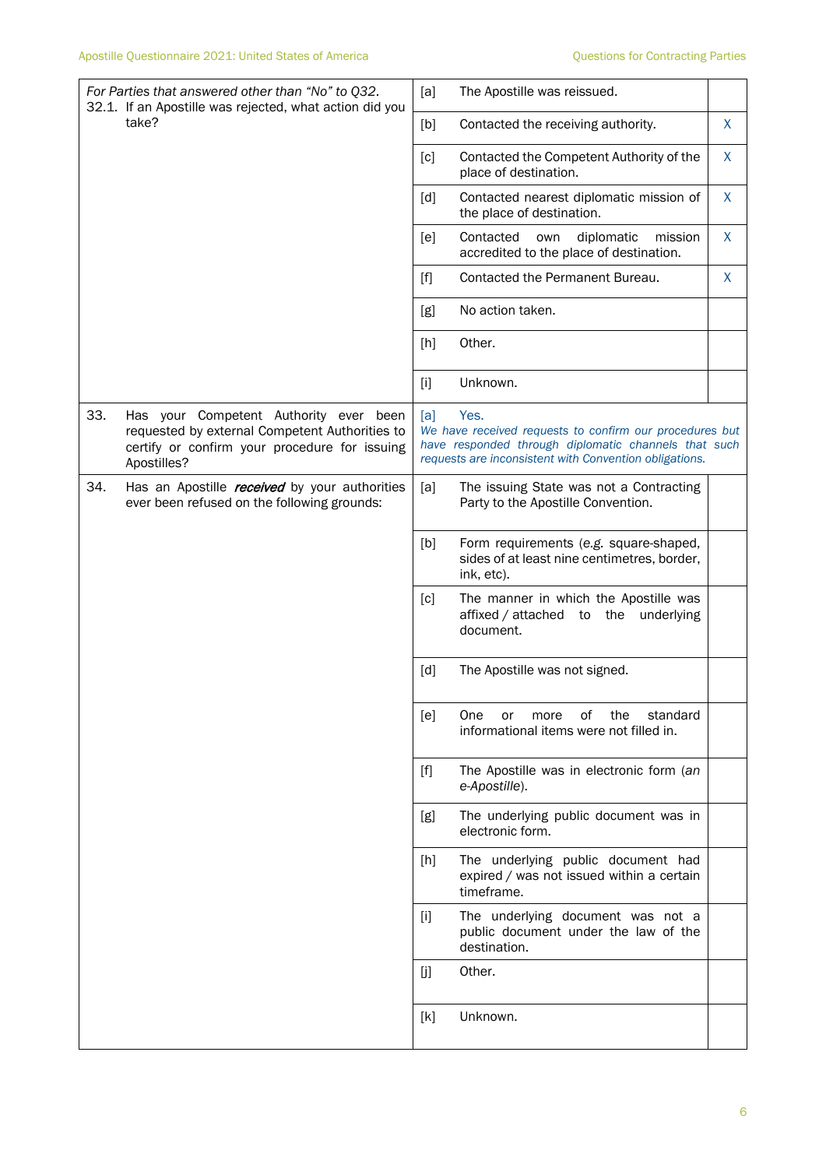|     | For Parties that answered other than "No" to Q32.<br>32.1. If an Apostille was rejected, what action did you                                             | [a]   | The Apostille was reissued.                                                                                                                                                       |   |
|-----|----------------------------------------------------------------------------------------------------------------------------------------------------------|-------|-----------------------------------------------------------------------------------------------------------------------------------------------------------------------------------|---|
|     | take?                                                                                                                                                    | [b]   | Contacted the receiving authority.                                                                                                                                                | X |
|     |                                                                                                                                                          | [c]   | Contacted the Competent Authority of the<br>place of destination.                                                                                                                 | X |
|     |                                                                                                                                                          | [d]   | Contacted nearest diplomatic mission of<br>the place of destination.                                                                                                              | X |
|     |                                                                                                                                                          | [e]   | Contacted<br>diplomatic<br>own<br>mission<br>accredited to the place of destination.                                                                                              | X |
|     |                                                                                                                                                          | $[f]$ | Contacted the Permanent Bureau.                                                                                                                                                   | X |
|     |                                                                                                                                                          | [g]   | No action taken.                                                                                                                                                                  |   |
|     |                                                                                                                                                          | [h]   | Other.                                                                                                                                                                            |   |
|     |                                                                                                                                                          | $[1]$ | Unknown.                                                                                                                                                                          |   |
| 33. | Has your Competent Authority ever been<br>requested by external Competent Authorities to<br>certify or confirm your procedure for issuing<br>Apostilles? | [a]   | Yes.<br>We have received requests to confirm our procedures but<br>have responded through diplomatic channels that such<br>requests are inconsistent with Convention obligations. |   |
| 34. | Has an Apostille <i>received</i> by your authorities<br>ever been refused on the following grounds:                                                      | [a]   | The issuing State was not a Contracting<br>Party to the Apostille Convention.                                                                                                     |   |
|     |                                                                                                                                                          | [b]   | Form requirements (e.g. square-shaped,<br>sides of at least nine centimetres, border,<br>ink, etc).                                                                               |   |
|     |                                                                                                                                                          | [c]   | The manner in which the Apostille was<br>affixed / attached to the underlying<br>document.                                                                                        |   |
|     |                                                                                                                                                          | [d]   | The Apostille was not signed.                                                                                                                                                     |   |
|     |                                                                                                                                                          | [e]   | of<br>the<br>One<br>standard<br>or<br>more<br>informational items were not filled in.                                                                                             |   |
|     |                                                                                                                                                          | $[f]$ | The Apostille was in electronic form (an<br>e-Apostille).                                                                                                                         |   |
|     |                                                                                                                                                          | [g]   | The underlying public document was in<br>electronic form.                                                                                                                         |   |
|     |                                                                                                                                                          | [h]   | The underlying public document had<br>expired / was not issued within a certain<br>timeframe.                                                                                     |   |
|     |                                                                                                                                                          | $[1]$ | The underlying document was not a<br>public document under the law of the<br>destination.                                                                                         |   |
|     |                                                                                                                                                          | [j]   | Other.                                                                                                                                                                            |   |
|     |                                                                                                                                                          | [k]   | Unknown.                                                                                                                                                                          |   |